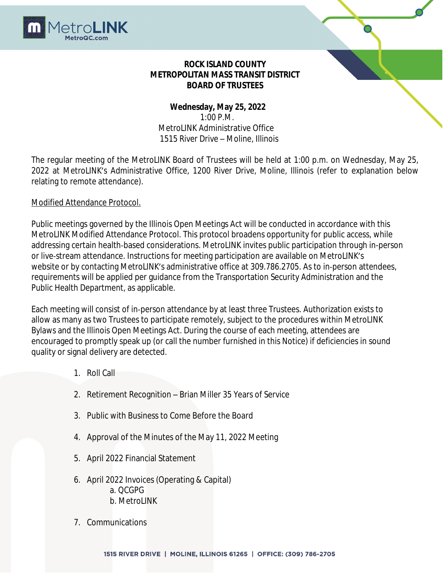

## **ROCK ISLAND COUNTY METROPOLITAN MASS TRANSIT DISTRICT BOARD OF TRUSTEES**

# **Wednesday, May 25, 2022** 1:00 P.M. MetroLINK Administrative Office 1515 River Drive – Moline, Illinois

The regular meeting of the MetroLINK Board of Trustees will be held at 1:00 p.m. on Wednesday, May 25, 2022 at MetroLINK's Administrative Office, 1200 River Drive, Moline, Illinois (refer to explanation below relating to remote attendance).

## Modified Attendance Protocol.

Public meetings governed by the Illinois Open Meetings Act will be conducted in accordance with this MetroLINK Modified Attendance Protocol. This protocol broadens opportunity for public access, while addressing certain health‐based considerations. MetroLINK invites public participation through in-person or live‐stream attendance. Instructions for meeting participation are available on MetroLINK's website or by contacting MetroLINK's administrative office at 309.786.2705. As to in‐person attendees, requirements will be applied per guidance from the Transportation Security Administration and the Public Health Department, as applicable.

Each meeting will consist of in‐person attendance by at least three Trustees. Authorization exists to allow as many as two Trustees to participate remotely, subject to the procedures within MetroLINK Bylaws and the Illinois Open Meetings Act. During the course of each meeting, attendees are encouraged to promptly speak up (or call the number furnished in this Notice) if deficiencies in sound quality or signal delivery are detected.

- 1. Roll Call
- 2. Retirement Recognition Brian Miller 35 Years of Service
- 3. Public with Business to Come Before the Board
- 4. Approval of the Minutes of the May 11, 2022 Meeting
- 5. April 2022 Financial Statement
- 6. April 2022 Invoices (Operating & Capital) a. QCGPG b. MetroLINK
- 7. Communications